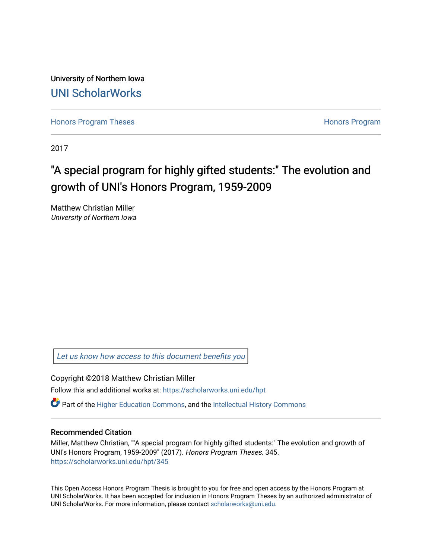University of Northern Iowa [UNI ScholarWorks](https://scholarworks.uni.edu/) 

[Honors Program Theses](https://scholarworks.uni.edu/hpt) **Honors Program** Honors Program

2017

## "A special program for highly gifted students:" The evolution and growth of UNI's Honors Program, 1959-2009

Matthew Christian Miller University of Northern Iowa

[Let us know how access to this document benefits you](https://scholarworks.uni.edu/feedback_form.html) 

Copyright ©2018 Matthew Christian Miller

Follow this and additional works at: [https://scholarworks.uni.edu/hpt](https://scholarworks.uni.edu/hpt?utm_source=scholarworks.uni.edu%2Fhpt%2F345&utm_medium=PDF&utm_campaign=PDFCoverPages) 

 $\bullet$  Part of the [Higher Education Commons,](http://network.bepress.com/hgg/discipline/1245?utm_source=scholarworks.uni.edu%2Fhpt%2F345&utm_medium=PDF&utm_campaign=PDFCoverPages) and the Intellectual History Commons

#### Recommended Citation

Miller, Matthew Christian, ""A special program for highly gifted students:" The evolution and growth of UNI's Honors Program, 1959-2009" (2017). Honors Program Theses. 345. [https://scholarworks.uni.edu/hpt/345](https://scholarworks.uni.edu/hpt/345?utm_source=scholarworks.uni.edu%2Fhpt%2F345&utm_medium=PDF&utm_campaign=PDFCoverPages) 

This Open Access Honors Program Thesis is brought to you for free and open access by the Honors Program at UNI ScholarWorks. It has been accepted for inclusion in Honors Program Theses by an authorized administrator of UNI ScholarWorks. For more information, please contact [scholarworks@uni.edu.](mailto:scholarworks@uni.edu)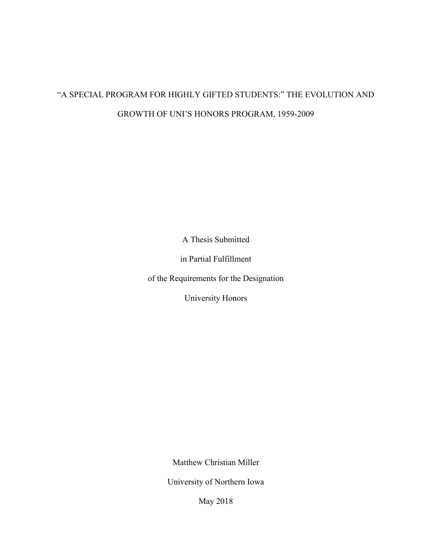# "A SPECIAL PROGRAM FOR HIGHLY GIFTED STUDENTS:" THE EVOLUTION AND GROWTH OF UNI'S HONORS PROGRAM, 1959-2009

A Thesis Submitted

in Partial Fulfillment

of the Requirements for the Designation

University Honors

Matthew Christian Miller

University of Northern Iowa

May 2018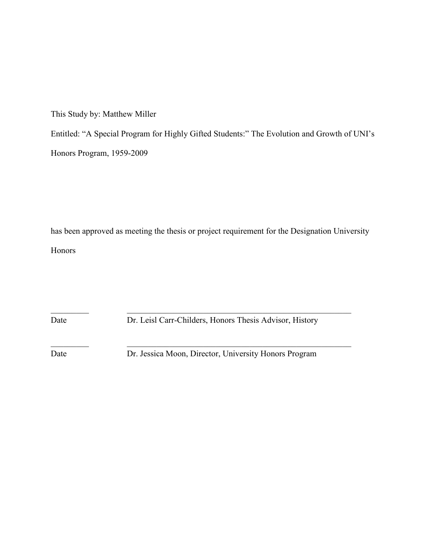This Study by: Matthew Miller

Entitled: "A Special Program for Highly Gifted Students:" The Evolution and Growth of UNI's Honors Program, 1959-2009

has been approved as meeting the thesis or project requirement for the Designation University Honors

 $\_$ 

 $\_$ 

Date Dr. Leisl Carr-Childers, Honors Thesis Advisor, History

Date Dr. Jessica Moon, Director, University Honors Program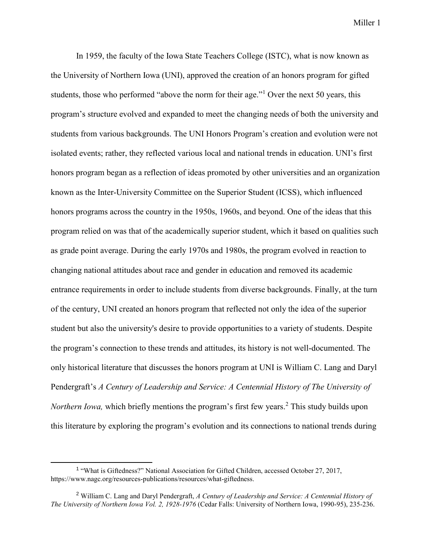In 1959, the faculty of the Iowa State Teachers College (ISTC), what is now known as the University of Northern Iowa (UNI), approved the creation of an honors program for gifted students, those who performed "above the norm for their age."<sup>1</sup> Over the next 50 years, this program's structure evolved and expanded to meet the changing needs of both the university and students from various backgrounds. The UNI Honors Program's creation and evolution were not isolated events; rather, they reflected various local and national trends in education. UNI's first honors program began as a reflection of ideas promoted by other universities and an organization known as the Inter-University Committee on the Superior Student (ICSS), which influenced honors programs across the country in the 1950s, 1960s, and beyond. One of the ideas that this program relied on was that of the academically superior student, which it based on qualities such as grade point average. During the early 1970s and 1980s, the program evolved in reaction to changing national attitudes about race and gender in education and removed its academic entrance requirements in order to include students from diverse backgrounds. Finally, at the turn of the century, UNI created an honors program that reflected not only the idea of the superior student but also the university's desire to provide opportunities to a variety of students. Despite the program's connection to these trends and attitudes, its history is not well-documented. The only historical literature that discusses the honors program at UNI is William C. Lang and Daryl Pendergraft's *A Century of Leadership and Service: A Centennial History of The University of Northern Iowa*, which briefly mentions the program's first few years.<sup>2</sup> This study builds upon this literature by exploring the program's evolution and its connections to national trends during

<sup>&</sup>lt;sup>1</sup> "What is Giftedness?" National Association for Gifted Children, accessed October 27, 2017, [https://www.nagc.org/resources-publications/resources/what-giftedness.](https://www.nagc.org/resources-publications/resources/what-giftedness)

<sup>2</sup> William C. Lang and Daryl Pendergraft, *A Century of Leadership and Service: A Centennial History of The University of Northern Iowa Vol. 2, 1928-1976* (Cedar Falls: University of Northern Iowa, 1990-95), 235-236.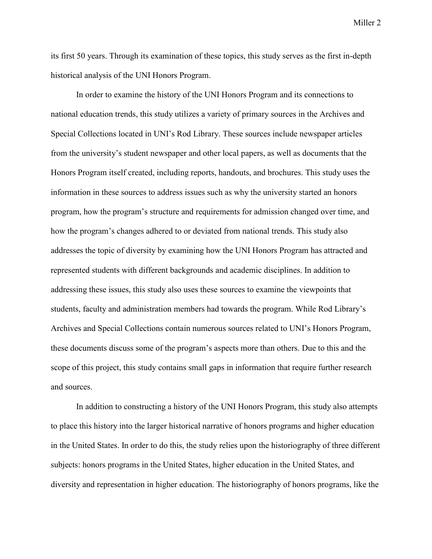its first 50 years. Through its examination of these topics, this study serves as the first in-depth historical analysis of the UNI Honors Program.

In order to examine the history of the UNI Honors Program and its connections to national education trends, this study utilizes a variety of primary sources in the Archives and Special Collections located in UNI's Rod Library. These sources include newspaper articles from the university's student newspaper and other local papers, as well as documents that the Honors Program itself created, including reports, handouts, and brochures. This study uses the information in these sources to address issues such as why the university started an honors program, how the program's structure and requirements for admission changed over time, and how the program's changes adhered to or deviated from national trends. This study also addresses the topic of diversity by examining how the UNI Honors Program has attracted and represented students with different backgrounds and academic disciplines. In addition to addressing these issues, this study also uses these sources to examine the viewpoints that students, faculty and administration members had towards the program. While Rod Library's Archives and Special Collections contain numerous sources related to UNI's Honors Program, these documents discuss some of the program's aspects more than others. Due to this and the scope of this project, this study contains small gaps in information that require further research and sources.

In addition to constructing a history of the UNI Honors Program, this study also attempts to place this history into the larger historical narrative of honors programs and higher education in the United States. In order to do this, the study relies upon the historiography of three different subjects: honors programs in the United States, higher education in the United States, and diversity and representation in higher education. The historiography of honors programs, like the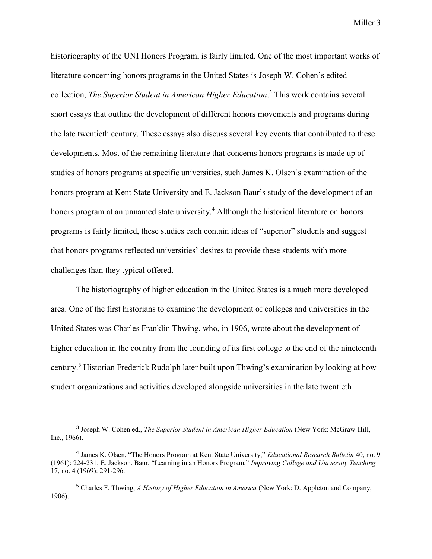historiography of the UNI Honors Program, is fairly limited. One of the most important works of literature concerning honors programs in the United States is Joseph W. Cohen's edited collection, *The Superior Student in American Higher Education*. <sup>3</sup> This work contains several short essays that outline the development of different honors movements and programs during the late twentieth century. These essays also discuss several key events that contributed to these developments. Most of the remaining literature that concerns honors programs is made up of studies of honors programs at specific universities, such James K. Olsen's examination of the honors program at Kent State University and E. Jackson Baur's study of the development of an honors program at an unnamed state university.<sup>4</sup> Although the historical literature on honors programs is fairly limited, these studies each contain ideas of "superior" students and suggest that honors programs reflected universities' desires to provide these students with more challenges than they typical offered.

 The historiography of higher education in the United States is a much more developed area. One of the first historians to examine the development of colleges and universities in the United States was Charles Franklin Thwing, who, in 1906, wrote about the development of higher education in the country from the founding of its first college to the end of the nineteenth century.<sup>5</sup> Historian Frederick Rudolph later built upon Thwing's examination by looking at how student organizations and activities developed alongside universities in the late twentieth

<sup>3</sup> Joseph W. Cohen ed., *The Superior Student in American Higher Education* (New York: McGraw-Hill, Inc., 1966).

<sup>4</sup> James K. Olsen, "The Honors Program at Kent State University," *Educational Research Bulletin* 40, no. 9 (1961): 224-231; E. Jackson. Baur, "Learning in an Honors Program," *Improving College and University Teaching* 17, no. 4 (1969): 291-296.

<sup>5</sup> Charles F. Thwing, *A History of Higher Education in America* (New York: D. Appleton and Company, 1906).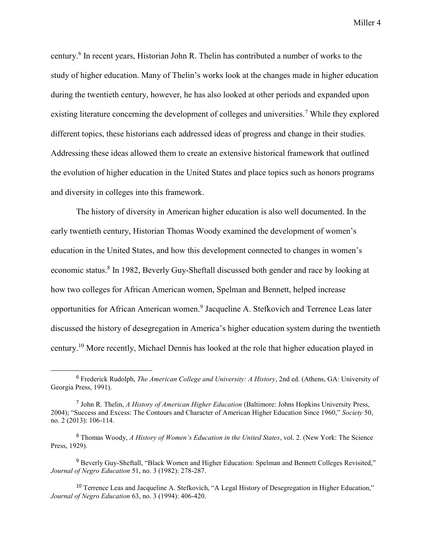century.<sup>6</sup> In recent years, Historian John R. Thelin has contributed a number of works to the study of higher education. Many of Thelin's works look at the changes made in higher education during the twentieth century, however, he has also looked at other periods and expanded upon existing literature concerning the development of colleges and universities.<sup>7</sup> While they explored different topics, these historians each addressed ideas of progress and change in their studies. Addressing these ideas allowed them to create an extensive historical framework that outlined the evolution of higher education in the United States and place topics such as honors programs and diversity in colleges into this framework.

 The history of diversity in American higher education is also well documented. In the early twentieth century, Historian Thomas Woody examined the development of women's education in the United States, and how this development connected to changes in women's economic status.<sup>8</sup> In 1982, Beverly Guy-Sheftall discussed both gender and race by looking at how two colleges for African American women, Spelman and Bennett, helped increase opportunities for African American women.<sup>9</sup> Jacqueline A. Stefkovich and Terrence Leas later discussed the history of desegregation in America's higher education system during the twentieth century.<sup>10</sup> More recently, Michael Dennis has looked at the role that higher education played in

<sup>6</sup> Frederick Rudolph, *The American College and University: A History*, 2nd ed. (Athens, GA: University of Georgia Press, 1991).

<sup>7</sup> John R. Thelin, *A History of American Higher Education* (Baltimore: Johns Hopkins University Press, 2004); "Success and Excess: The Contours and Character of American Higher Education Since 1960," *Society* 50, no. 2 (2013): 106-114.

<sup>8</sup> Thomas Woody, *A History of Women's Education in the United States*, vol. 2. (New York: The Science Press, 1929).

<sup>&</sup>lt;sup>9</sup> Beverly Guy-Sheftall, "Black Women and Higher Education: Spelman and Bennett Colleges Revisited," *Journal of Negro Education* 51, no. 3 (1982): 278-287.

<sup>10</sup> Terrence Leas and Jacqueline A. Stefkovich, "A Legal History of Desegregation in Higher Education," *Journal of Negro Education* 63, no. 3 (1994): 406-420.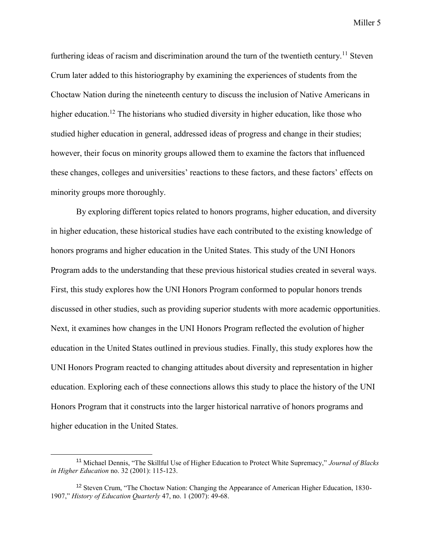furthering ideas of racism and discrimination around the turn of the twentieth century.<sup>11</sup> Steven Crum later added to this historiography by examining the experiences of students from the Choctaw Nation during the nineteenth century to discuss the inclusion of Native Americans in higher education.<sup>12</sup> The historians who studied diversity in higher education, like those who studied higher education in general, addressed ideas of progress and change in their studies; however, their focus on minority groups allowed them to examine the factors that influenced these changes, colleges and universities' reactions to these factors, and these factors' effects on minority groups more thoroughly.

By exploring different topics related to honors programs, higher education, and diversity in higher education, these historical studies have each contributed to the existing knowledge of honors programs and higher education in the United States. This study of the UNI Honors Program adds to the understanding that these previous historical studies created in several ways. First, this study explores how the UNI Honors Program conformed to popular honors trends discussed in other studies, such as providing superior students with more academic opportunities. Next, it examines how changes in the UNI Honors Program reflected the evolution of higher education in the United States outlined in previous studies. Finally, this study explores how the UNI Honors Program reacted to changing attitudes about diversity and representation in higher education. Exploring each of these connections allows this study to place the history of the UNI Honors Program that it constructs into the larger historical narrative of honors programs and higher education in the United States.

<sup>11</sup> Michael Dennis, "The Skillful Use of Higher Education to Protect White Supremacy," *Journal of Blacks in Higher Education* no. 32 (2001): 115-123.

<sup>&</sup>lt;sup>12</sup> Steven Crum, "The Choctaw Nation: Changing the Appearance of American Higher Education, 1830-1907," *History of Education Quarterly* 47, no. 1 (2007): 49-68.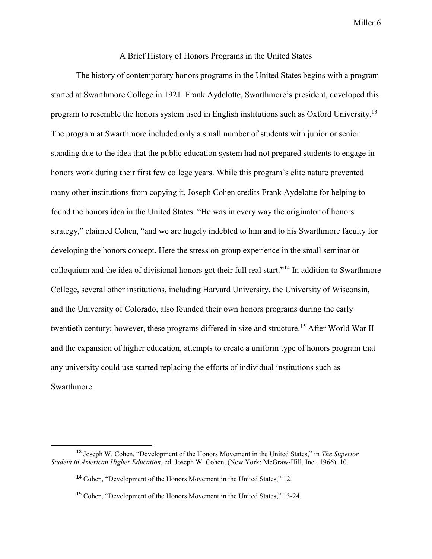#### A Brief History of Honors Programs in the United States

The history of contemporary honors programs in the United States begins with a program started at Swarthmore College in 1921. Frank Aydelotte, Swarthmore's president, developed this program to resemble the honors system used in English institutions such as Oxford University.<sup>13</sup> The program at Swarthmore included only a small number of students with junior or senior standing due to the idea that the public education system had not prepared students to engage in honors work during their first few college years. While this program's elite nature prevented many other institutions from copying it, Joseph Cohen credits Frank Aydelotte for helping to found the honors idea in the United States. "He was in every way the originator of honors strategy," claimed Cohen, "and we are hugely indebted to him and to his Swarthmore faculty for developing the honors concept. Here the stress on group experience in the small seminar or colloquium and the idea of divisional honors got their full real start."<sup>14</sup> In addition to Swarthmore College, several other institutions, including Harvard University, the University of Wisconsin, and the University of Colorado, also founded their own honors programs during the early twentieth century; however, these programs differed in size and structure.<sup>15</sup> After World War II and the expansion of higher education, attempts to create a uniform type of honors program that any university could use started replacing the efforts of individual institutions such as Swarthmore.

<sup>13</sup> Joseph W. Cohen, "Development of the Honors Movement in the United States," in *The Superior Student in American Higher Education*, ed. Joseph W. Cohen, (New York: McGraw-Hill, Inc., 1966), 10.

<sup>14</sup> Cohen, "Development of the Honors Movement in the United States," 12.

<sup>15</sup> Cohen, "Development of the Honors Movement in the United States," 13-24.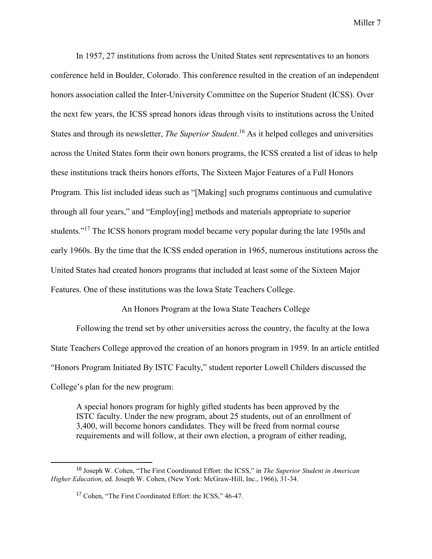In 1957, 27 institutions from across the United States sent representatives to an honors conference held in Boulder, Colorado. This conference resulted in the creation of an independent honors association called the Inter-University Committee on the Superior Student (ICSS). Over the next few years, the ICSS spread honors ideas through visits to institutions across the United States and through its newsletter, *The Superior Student*. <sup>16</sup> As it helped colleges and universities across the United States form their own honors programs, the ICSS created a list of ideas to help these institutions track theirs honors efforts, The Sixteen Major Features of a Full Honors Program. This list included ideas such as "[Making] such programs continuous and cumulative through all four years," and "Employ[ing] methods and materials appropriate to superior students."<sup>17</sup> The ICSS honors program model became very popular during the late 1950s and early 1960s. By the time that the ICSS ended operation in 1965, numerous institutions across the United States had created honors programs that included at least some of the Sixteen Major Features. One of these institutions was the Iowa State Teachers College.

An Honors Program at the Iowa State Teachers College

Following the trend set by other universities across the country, the faculty at the Iowa State Teachers College approved the creation of an honors program in 1959. In an article entitled "Honors Program Initiated By ISTC Faculty," student reporter Lowell Childers discussed the College's plan for the new program:

A special honors program for highly gifted students has been approved by the ISTC faculty. Under the new program, about 25 students, out of an enrollment of 3,400, will become honors candidates. They will be freed from normal course requirements and will follow, at their own election, a program of either reading,

<sup>16</sup> Joseph W. Cohen, "The First Coordinated Effort: the ICSS," in *The Superior Student in American Higher Education*, ed. Joseph W. Cohen, (New York: McGraw-Hill, Inc., 1966), 31-34.

<sup>17</sup> Cohen, "The First Coordinated Effort: the ICSS," 46-47.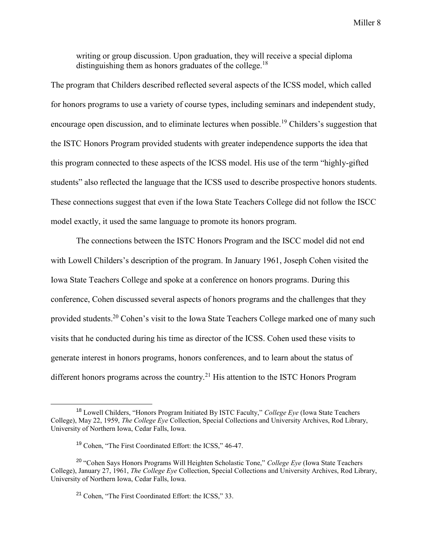writing or group discussion. Upon graduation, they will receive a special diploma distinguishing them as honors graduates of the college.<sup>18</sup>

The program that Childers described reflected several aspects of the ICSS model, which called for honors programs to use a variety of course types, including seminars and independent study, encourage open discussion, and to eliminate lectures when possible.<sup>19</sup> Childers's suggestion that the ISTC Honors Program provided students with greater independence supports the idea that this program connected to these aspects of the ICSS model. His use of the term "highly-gifted students" also reflected the language that the ICSS used to describe prospective honors students. These connections suggest that even if the Iowa State Teachers College did not follow the ISCC model exactly, it used the same language to promote its honors program.

The connections between the ISTC Honors Program and the ISCC model did not end with Lowell Childers's description of the program. In January 1961, Joseph Cohen visited the Iowa State Teachers College and spoke at a conference on honors programs. During this conference, Cohen discussed several aspects of honors programs and the challenges that they provided students.<sup>20</sup> Cohen's visit to the Iowa State Teachers College marked one of many such visits that he conducted during his time as director of the ICSS. Cohen used these visits to generate interest in honors programs, honors conferences, and to learn about the status of different honors programs across the country.<sup>21</sup> His attention to the ISTC Honors Program

<sup>18</sup> Lowell Childers, "Honors Program Initiated By ISTC Faculty," *College Eye* (Iowa State Teachers College), May 22, 1959, *The College Eye* Collection, Special Collections and University Archives, Rod Library, University of Northern Iowa, Cedar Falls, Iowa.

<sup>19</sup> Cohen, "The First Coordinated Effort: the ICSS," 46-47.

<sup>20</sup> "Cohen Says Honors Programs Will Heighten Scholastic Tone," *College Eye* (Iowa State Teachers College), January 27, 1961, *The College Eye* Collection, Special Collections and University Archives, Rod Library, University of Northern Iowa, Cedar Falls, Iowa.

<sup>21</sup> Cohen, "The First Coordinated Effort: the ICSS," 33.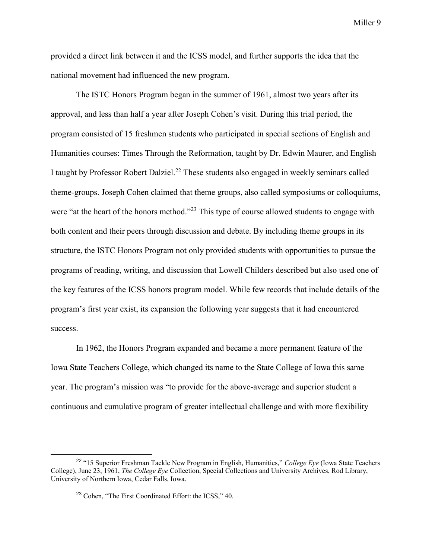provided a direct link between it and the ICSS model, and further supports the idea that the national movement had influenced the new program.

The ISTC Honors Program began in the summer of 1961, almost two years after its approval, and less than half a year after Joseph Cohen's visit. During this trial period, the program consisted of 15 freshmen students who participated in special sections of English and Humanities courses: Times Through the Reformation, taught by Dr. Edwin Maurer, and English I taught by Professor Robert Dalziel.<sup>22</sup> These students also engaged in weekly seminars called theme-groups. Joseph Cohen claimed that theme groups, also called symposiums or colloquiums, were "at the heart of the honors method."<sup>23</sup> This type of course allowed students to engage with both content and their peers through discussion and debate. By including theme groups in its structure, the ISTC Honors Program not only provided students with opportunities to pursue the programs of reading, writing, and discussion that Lowell Childers described but also used one of the key features of the ICSS honors program model. While few records that include details of the program's first year exist, its expansion the following year suggests that it had encountered success.

In 1962, the Honors Program expanded and became a more permanent feature of the Iowa State Teachers College, which changed its name to the State College of Iowa this same year. The program's mission was "to provide for the above-average and superior student a continuous and cumulative program of greater intellectual challenge and with more flexibility

<sup>22</sup> "15 Superior Freshman Tackle New Program in English, Humanities," *College Eye* (Iowa State Teachers College), June 23, 1961, *The College Eye* Collection, Special Collections and University Archives, Rod Library, University of Northern Iowa, Cedar Falls, Iowa.

<sup>23</sup> Cohen, "The First Coordinated Effort: the ICSS," 40.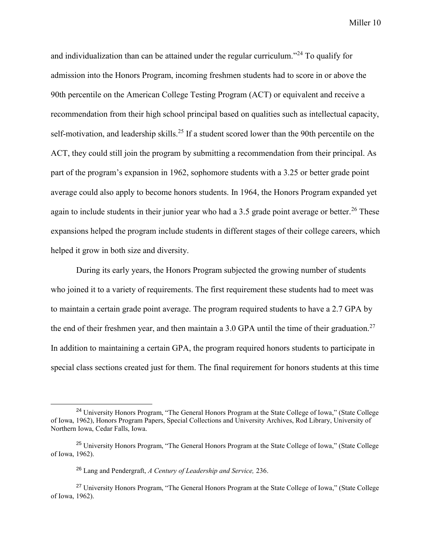and individualization than can be attained under the regular curriculum."<sup>24</sup> To qualify for admission into the Honors Program, incoming freshmen students had to score in or above the 90th percentile on the American College Testing Program (ACT) or equivalent and receive a recommendation from their high school principal based on qualities such as intellectual capacity, self-motivation, and leadership skills.<sup>25</sup> If a student scored lower than the 90th percentile on the ACT, they could still join the program by submitting a recommendation from their principal. As part of the program's expansion in 1962, sophomore students with a 3.25 or better grade point average could also apply to become honors students. In 1964, the Honors Program expanded yet again to include students in their junior year who had a 3.5 grade point average or better.<sup>26</sup> These expansions helped the program include students in different stages of their college careers, which helped it grow in both size and diversity.

During its early years, the Honors Program subjected the growing number of students who joined it to a variety of requirements. The first requirement these students had to meet was to maintain a certain grade point average. The program required students to have a 2.7 GPA by the end of their freshmen year, and then maintain a 3.0 GPA until the time of their graduation.<sup>27</sup> In addition to maintaining a certain GPA, the program required honors students to participate in special class sections created just for them. The final requirement for honors students at this time

<sup>&</sup>lt;sup>24</sup> University Honors Program, "The General Honors Program at the State College of Iowa," (State College of Iowa, 1962), Honors Program Papers, Special Collections and University Archives, Rod Library, University of Northern Iowa, Cedar Falls, Iowa.

<sup>&</sup>lt;sup>25</sup> University Honors Program, "The General Honors Program at the State College of Iowa," (State College of Iowa, 1962).

<sup>26</sup> Lang and Pendergraft, *A Century of Leadership and Service,* 236.

<sup>27</sup> University Honors Program, "The General Honors Program at the State College of Iowa," (State College of Iowa, 1962).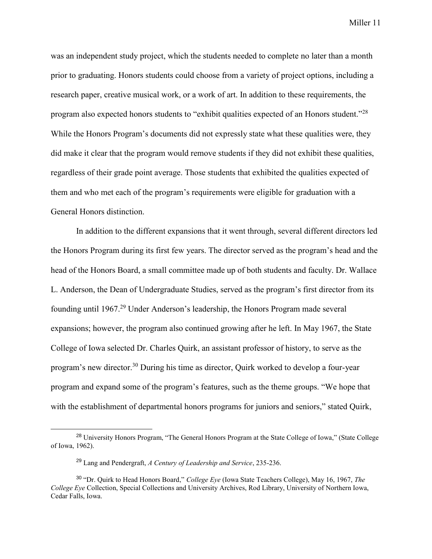was an independent study project, which the students needed to complete no later than a month prior to graduating. Honors students could choose from a variety of project options, including a research paper, creative musical work, or a work of art. In addition to these requirements, the program also expected honors students to "exhibit qualities expected of an Honors student."<sup>28</sup> While the Honors Program's documents did not expressly state what these qualities were, they did make it clear that the program would remove students if they did not exhibit these qualities, regardless of their grade point average. Those students that exhibited the qualities expected of them and who met each of the program's requirements were eligible for graduation with a General Honors distinction.

In addition to the different expansions that it went through, several different directors led the Honors Program during its first few years. The director served as the program's head and the head of the Honors Board, a small committee made up of both students and faculty. Dr. Wallace L. Anderson, the Dean of Undergraduate Studies, served as the program's first director from its founding until 1967.<sup>29</sup> Under Anderson's leadership, the Honors Program made several expansions; however, the program also continued growing after he left. In May 1967, the State College of Iowa selected Dr. Charles Quirk, an assistant professor of history, to serve as the program's new director.<sup>30</sup> During his time as director, Quirk worked to develop a four-year program and expand some of the program's features, such as the theme groups. "We hope that with the establishment of departmental honors programs for juniors and seniors," stated Quirk,

<sup>&</sup>lt;sup>28</sup> University Honors Program, "The General Honors Program at the State College of Iowa," (State College of Iowa, 1962).

<sup>29</sup> Lang and Pendergraft, *A Century of Leadership and Service*, 235-236.

<sup>30</sup> "Dr. Quirk to Head Honors Board," *College Eye* (Iowa State Teachers College), May 16, 1967, *The College Eye* Collection, Special Collections and University Archives, Rod Library, University of Northern Iowa, Cedar Falls, Iowa.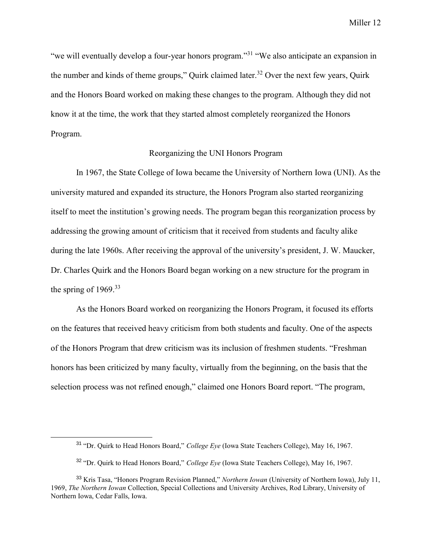"we will eventually develop a four-year honors program."<sup>31</sup> "We also anticipate an expansion in the number and kinds of theme groups," Quirk claimed later.<sup>32</sup> Over the next few years, Quirk and the Honors Board worked on making these changes to the program. Although they did not know it at the time, the work that they started almost completely reorganized the Honors Program.

## Reorganizing the UNI Honors Program

In 1967, the State College of Iowa became the University of Northern Iowa (UNI). As the university matured and expanded its structure, the Honors Program also started reorganizing itself to meet the institution's growing needs. The program began this reorganization process by addressing the growing amount of criticism that it received from students and faculty alike during the late 1960s. After receiving the approval of the university's president, J. W. Maucker, Dr. Charles Quirk and the Honors Board began working on a new structure for the program in the spring of  $1969$ <sup>33</sup>

As the Honors Board worked on reorganizing the Honors Program, it focused its efforts on the features that received heavy criticism from both students and faculty. One of the aspects of the Honors Program that drew criticism was its inclusion of freshmen students. "Freshman honors has been criticized by many faculty, virtually from the beginning, on the basis that the selection process was not refined enough," claimed one Honors Board report. "The program,

<sup>31</sup> "Dr. Quirk to Head Honors Board," *College Eye* (Iowa State Teachers College), May 16, 1967.

<sup>32</sup> "Dr. Quirk to Head Honors Board," *College Eye* (Iowa State Teachers College), May 16, 1967.

<sup>33</sup> Kris Tasa, "Honors Program Revision Planned," *Northern Iowan* (University of Northern Iowa), July 11, 1969, *The Northern Iowan* Collection, Special Collections and University Archives, Rod Library, University of Northern Iowa, Cedar Falls, Iowa.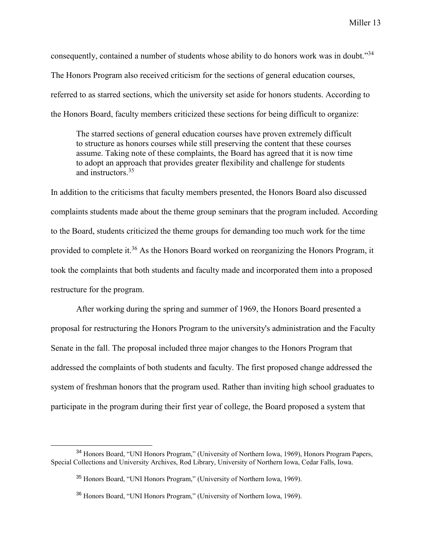consequently, contained a number of students whose ability to do honors work was in doubt."<sup>34</sup> The Honors Program also received criticism for the sections of general education courses, referred to as starred sections, which the university set aside for honors students. According to the Honors Board, faculty members criticized these sections for being difficult to organize:

The starred sections of general education courses have proven extremely difficult to structure as honors courses while still preserving the content that these courses assume. Taking note of these complaints, the Board has agreed that it is now time to adopt an approach that provides greater flexibility and challenge for students and instructors.<sup>35</sup>

In addition to the criticisms that faculty members presented, the Honors Board also discussed complaints students made about the theme group seminars that the program included. According to the Board, students criticized the theme groups for demanding too much work for the time provided to complete it.<sup>36</sup> As the Honors Board worked on reorganizing the Honors Program, it took the complaints that both students and faculty made and incorporated them into a proposed restructure for the program.

After working during the spring and summer of 1969, the Honors Board presented a proposal for restructuring the Honors Program to the university's administration and the Faculty Senate in the fall. The proposal included three major changes to the Honors Program that addressed the complaints of both students and faculty. The first proposed change addressed the system of freshman honors that the program used. Rather than inviting high school graduates to participate in the program during their first year of college, the Board proposed a system that

<sup>34</sup> Honors Board, "UNI Honors Program," (University of Northern Iowa, 1969), Honors Program Papers, Special Collections and University Archives, Rod Library, University of Northern Iowa, Cedar Falls, Iowa.

<sup>35</sup> Honors Board, "UNI Honors Program," (University of Northern Iowa, 1969).

<sup>36</sup> Honors Board, "UNI Honors Program," (University of Northern Iowa, 1969).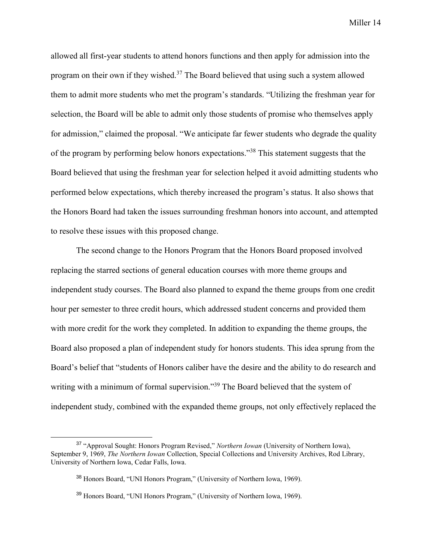allowed all first-year students to attend honors functions and then apply for admission into the program on their own if they wished.<sup>37</sup> The Board believed that using such a system allowed them to admit more students who met the program's standards. "Utilizing the freshman year for selection, the Board will be able to admit only those students of promise who themselves apply for admission," claimed the proposal. "We anticipate far fewer students who degrade the quality of the program by performing below honors expectations."<sup>38</sup> This statement suggests that the Board believed that using the freshman year for selection helped it avoid admitting students who performed below expectations, which thereby increased the program's status. It also shows that the Honors Board had taken the issues surrounding freshman honors into account, and attempted to resolve these issues with this proposed change.

The second change to the Honors Program that the Honors Board proposed involved replacing the starred sections of general education courses with more theme groups and independent study courses. The Board also planned to expand the theme groups from one credit hour per semester to three credit hours, which addressed student concerns and provided them with more credit for the work they completed. In addition to expanding the theme groups, the Board also proposed a plan of independent study for honors students. This idea sprung from the Board's belief that "students of Honors caliber have the desire and the ability to do research and writing with a minimum of formal supervision."<sup>39</sup> The Board believed that the system of independent study, combined with the expanded theme groups, not only effectively replaced the

<sup>37</sup> "Approval Sought: Honors Program Revised," *Northern Iowan* (University of Northern Iowa), September 9, 1969, *The Northern Iowan* Collection, Special Collections and University Archives, Rod Library, University of Northern Iowa, Cedar Falls, Iowa.

<sup>&</sup>lt;sup>38</sup> Honors Board, "UNI Honors Program," (University of Northern Iowa, 1969).

<sup>&</sup>lt;sup>39</sup> Honors Board, "UNI Honors Program," (University of Northern Iowa, 1969).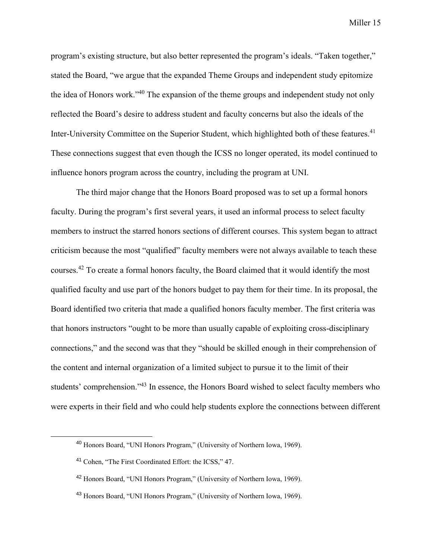program's existing structure, but also better represented the program's ideals. "Taken together," stated the Board, "we argue that the expanded Theme Groups and independent study epitomize the idea of Honors work."<sup>40</sup> The expansion of the theme groups and independent study not only reflected the Board's desire to address student and faculty concerns but also the ideals of the Inter-University Committee on the Superior Student, which highlighted both of these features.<sup>41</sup> These connections suggest that even though the ICSS no longer operated, its model continued to influence honors program across the country, including the program at UNI.

The third major change that the Honors Board proposed was to set up a formal honors faculty. During the program's first several years, it used an informal process to select faculty members to instruct the starred honors sections of different courses. This system began to attract criticism because the most "qualified" faculty members were not always available to teach these courses.<sup>42</sup> To create a formal honors faculty, the Board claimed that it would identify the most qualified faculty and use part of the honors budget to pay them for their time. In its proposal, the Board identified two criteria that made a qualified honors faculty member. The first criteria was that honors instructors "ought to be more than usually capable of exploiting cross-disciplinary connections," and the second was that they "should be skilled enough in their comprehension of the content and internal organization of a limited subject to pursue it to the limit of their students' comprehension."<sup>43</sup> In essence, the Honors Board wished to select faculty members who were experts in their field and who could help students explore the connections between different

<sup>40</sup> Honors Board, "UNI Honors Program," (University of Northern Iowa, 1969).

<sup>41</sup> Cohen, "The First Coordinated Effort: the ICSS," 47.

<sup>42</sup> Honors Board, "UNI Honors Program," (University of Northern Iowa, 1969).

<sup>43</sup> Honors Board, "UNI Honors Program," (University of Northern Iowa, 1969).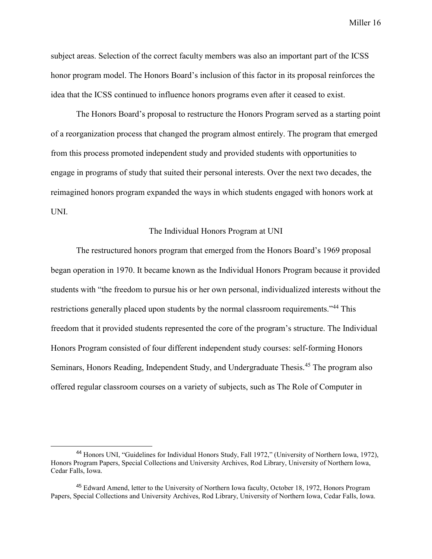subject areas. Selection of the correct faculty members was also an important part of the ICSS honor program model. The Honors Board's inclusion of this factor in its proposal reinforces the idea that the ICSS continued to influence honors programs even after it ceased to exist.

The Honors Board's proposal to restructure the Honors Program served as a starting point of a reorganization process that changed the program almost entirely. The program that emerged from this process promoted independent study and provided students with opportunities to engage in programs of study that suited their personal interests. Over the next two decades, the reimagined honors program expanded the ways in which students engaged with honors work at UNI.

#### The Individual Honors Program at UNI

The restructured honors program that emerged from the Honors Board's 1969 proposal began operation in 1970. It became known as the Individual Honors Program because it provided students with "the freedom to pursue his or her own personal, individualized interests without the restrictions generally placed upon students by the normal classroom requirements."<sup>44</sup> This freedom that it provided students represented the core of the program's structure. The Individual Honors Program consisted of four different independent study courses: self-forming Honors Seminars, Honors Reading, Independent Study, and Undergraduate Thesis.<sup>45</sup> The program also offered regular classroom courses on a variety of subjects, such as The Role of Computer in

<sup>44</sup> Honors UNI, "Guidelines for Individual Honors Study, Fall 1972," (University of Northern Iowa, 1972), Honors Program Papers, Special Collections and University Archives, Rod Library, University of Northern Iowa, Cedar Falls, Iowa.

<sup>45</sup> Edward Amend, letter to the University of Northern Iowa faculty, October 18, 1972, Honors Program Papers, Special Collections and University Archives, Rod Library, University of Northern Iowa, Cedar Falls, Iowa.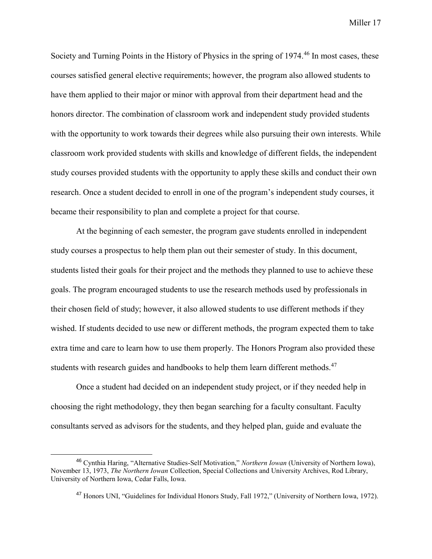Society and Turning Points in the History of Physics in the spring of 1974.<sup>46</sup> In most cases, these courses satisfied general elective requirements; however, the program also allowed students to have them applied to their major or minor with approval from their department head and the honors director. The combination of classroom work and independent study provided students with the opportunity to work towards their degrees while also pursuing their own interests. While classroom work provided students with skills and knowledge of different fields, the independent study courses provided students with the opportunity to apply these skills and conduct their own research. Once a student decided to enroll in one of the program's independent study courses, it became their responsibility to plan and complete a project for that course.

At the beginning of each semester, the program gave students enrolled in independent study courses a prospectus to help them plan out their semester of study. In this document, students listed their goals for their project and the methods they planned to use to achieve these goals. The program encouraged students to use the research methods used by professionals in their chosen field of study; however, it also allowed students to use different methods if they wished. If students decided to use new or different methods, the program expected them to take extra time and care to learn how to use them properly. The Honors Program also provided these students with research guides and handbooks to help them learn different methods.<sup>47</sup>

Once a student had decided on an independent study project, or if they needed help in choosing the right methodology, they then began searching for a faculty consultant. Faculty consultants served as advisors for the students, and they helped plan, guide and evaluate the

<sup>46</sup> Cynthia Haring, "Alternative Studies-Self Motivation," *Northern Iowan* (University of Northern Iowa), November 13, 1973, *The Northern Iowan* Collection, Special Collections and University Archives, Rod Library, University of Northern Iowa, Cedar Falls, Iowa.

<sup>47</sup> Honors UNI, "Guidelines for Individual Honors Study, Fall 1972," (University of Northern Iowa, 1972).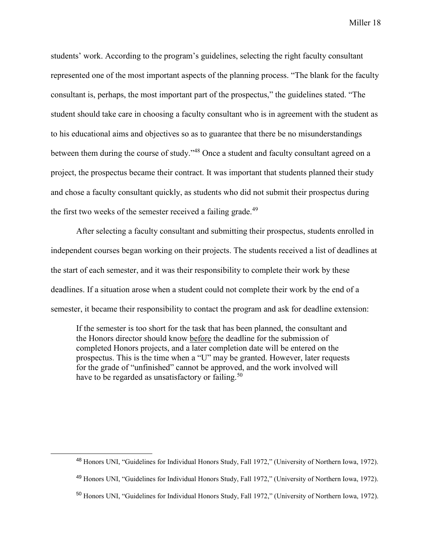students' work. According to the program's guidelines, selecting the right faculty consultant represented one of the most important aspects of the planning process. "The blank for the faculty consultant is, perhaps, the most important part of the prospectus," the guidelines stated. "The student should take care in choosing a faculty consultant who is in agreement with the student as to his educational aims and objectives so as to guarantee that there be no misunderstandings between them during the course of study."<sup>48</sup> Once a student and faculty consultant agreed on a project, the prospectus became their contract. It was important that students planned their study and chose a faculty consultant quickly, as students who did not submit their prospectus during the first two weeks of the semester received a failing grade.<sup>49</sup>

After selecting a faculty consultant and submitting their prospectus, students enrolled in independent courses began working on their projects. The students received a list of deadlines at the start of each semester, and it was their responsibility to complete their work by these deadlines. If a situation arose when a student could not complete their work by the end of a semester, it became their responsibility to contact the program and ask for deadline extension:

If the semester is too short for the task that has been planned, the consultant and the Honors director should know before the deadline for the submission of completed Honors projects, and a later completion date will be entered on the prospectus. This is the time when a "U" may be granted. However, later requests for the grade of "unfinished" cannot be approved, and the work involved will have to be regarded as unsatisfactory or failing.<sup>50</sup>

<sup>48</sup> Honors UNI, "Guidelines for Individual Honors Study, Fall 1972," (University of Northern Iowa, 1972).

<sup>49</sup> Honors UNI, "Guidelines for Individual Honors Study, Fall 1972," (University of Northern Iowa, 1972).

<sup>50</sup> Honors UNI, "Guidelines for Individual Honors Study, Fall 1972," (University of Northern Iowa, 1972).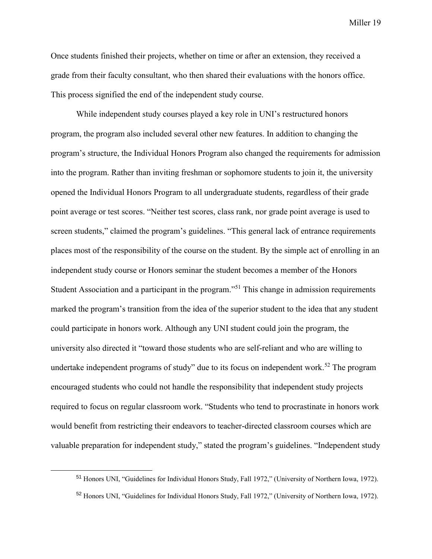Once students finished their projects, whether on time or after an extension, they received a grade from their faculty consultant, who then shared their evaluations with the honors office. This process signified the end of the independent study course.

While independent study courses played a key role in UNI's restructured honors program, the program also included several other new features. In addition to changing the program's structure, the Individual Honors Program also changed the requirements for admission into the program. Rather than inviting freshman or sophomore students to join it, the university opened the Individual Honors Program to all undergraduate students, regardless of their grade point average or test scores. "Neither test scores, class rank, nor grade point average is used to screen students," claimed the program's guidelines. "This general lack of entrance requirements places most of the responsibility of the course on the student. By the simple act of enrolling in an independent study course or Honors seminar the student becomes a member of the Honors Student Association and a participant in the program."<sup>51</sup> This change in admission requirements marked the program's transition from the idea of the superior student to the idea that any student could participate in honors work. Although any UNI student could join the program, the university also directed it "toward those students who are self-reliant and who are willing to undertake independent programs of study" due to its focus on independent work.<sup>52</sup> The program encouraged students who could not handle the responsibility that independent study projects required to focus on regular classroom work. "Students who tend to procrastinate in honors work would benefit from restricting their endeavors to teacher-directed classroom courses which are valuable preparation for independent study," stated the program's guidelines. "Independent study

<sup>51</sup> Honors UNI, "Guidelines for Individual Honors Study, Fall 1972," (University of Northern Iowa, 1972).

<sup>52</sup> Honors UNI, "Guidelines for Individual Honors Study, Fall 1972," (University of Northern Iowa, 1972).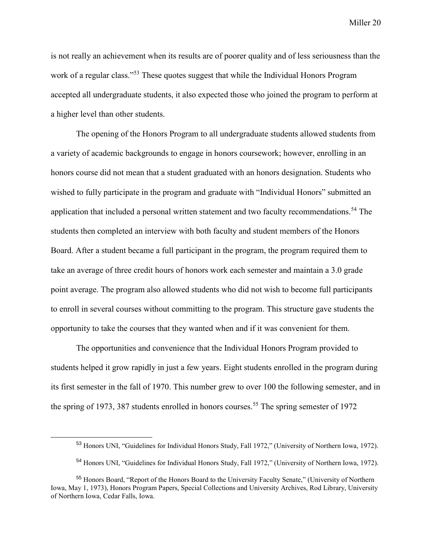is not really an achievement when its results are of poorer quality and of less seriousness than the work of a regular class."<sup>53</sup> These quotes suggest that while the Individual Honors Program accepted all undergraduate students, it also expected those who joined the program to perform at a higher level than other students.

The opening of the Honors Program to all undergraduate students allowed students from a variety of academic backgrounds to engage in honors coursework; however, enrolling in an honors course did not mean that a student graduated with an honors designation. Students who wished to fully participate in the program and graduate with "Individual Honors" submitted an application that included a personal written statement and two faculty recommendations.<sup>54</sup> The students then completed an interview with both faculty and student members of the Honors Board. After a student became a full participant in the program, the program required them to take an average of three credit hours of honors work each semester and maintain a 3.0 grade point average. The program also allowed students who did not wish to become full participants to enroll in several courses without committing to the program. This structure gave students the opportunity to take the courses that they wanted when and if it was convenient for them.

The opportunities and convenience that the Individual Honors Program provided to students helped it grow rapidly in just a few years. Eight students enrolled in the program during its first semester in the fall of 1970. This number grew to over 100 the following semester, and in the spring of 1973, 387 students enrolled in honors courses.<sup>55</sup> The spring semester of 1972

<sup>53</sup> Honors UNI, "Guidelines for Individual Honors Study, Fall 1972," (University of Northern Iowa, 1972).

<sup>54</sup> Honors UNI, "Guidelines for Individual Honors Study, Fall 1972," (University of Northern Iowa, 1972).

<sup>55</sup> Honors Board, "Report of the Honors Board to the University Faculty Senate," (University of Northern Iowa, May 1, 1973), Honors Program Papers, Special Collections and University Archives, Rod Library, University of Northern Iowa, Cedar Falls, Iowa.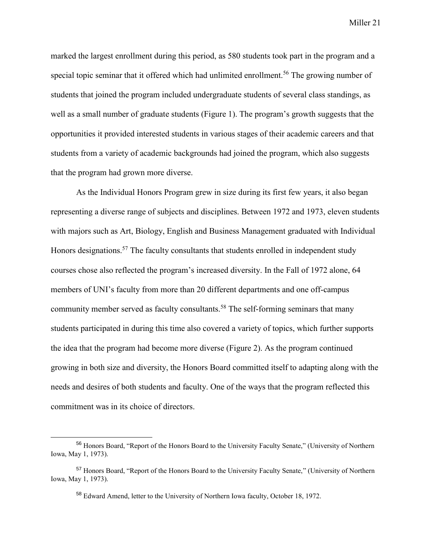marked the largest enrollment during this period, as 580 students took part in the program and a special topic seminar that it offered which had unlimited enrollment.<sup>56</sup> The growing number of students that joined the program included undergraduate students of several class standings, as well as a small number of graduate students (Figure 1). The program's growth suggests that the opportunities it provided interested students in various stages of their academic careers and that students from a variety of academic backgrounds had joined the program, which also suggests that the program had grown more diverse.

As the Individual Honors Program grew in size during its first few years, it also began representing a diverse range of subjects and disciplines. Between 1972 and 1973, eleven students with majors such as Art, Biology, English and Business Management graduated with Individual Honors designations.<sup>57</sup> The faculty consultants that students enrolled in independent study courses chose also reflected the program's increased diversity. In the Fall of 1972 alone, 64 members of UNI's faculty from more than 20 different departments and one off-campus community member served as faculty consultants.<sup>58</sup> The self-forming seminars that many students participated in during this time also covered a variety of topics, which further supports the idea that the program had become more diverse (Figure 2). As the program continued growing in both size and diversity, the Honors Board committed itself to adapting along with the needs and desires of both students and faculty. One of the ways that the program reflected this commitment was in its choice of directors.

<sup>56</sup> Honors Board, "Report of the Honors Board to the University Faculty Senate," (University of Northern Iowa, May 1, 1973).

<sup>57</sup> Honors Board, "Report of the Honors Board to the University Faculty Senate," (University of Northern Iowa, May 1, 1973).

<sup>58</sup> Edward Amend, letter to the University of Northern Iowa faculty, October 18, 1972.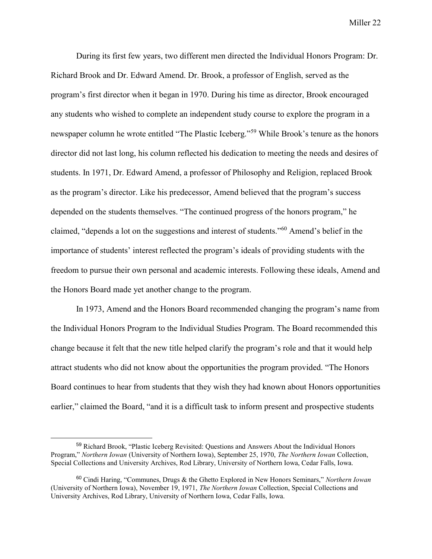During its first few years, two different men directed the Individual Honors Program: Dr. Richard Brook and Dr. Edward Amend. Dr. Brook, a professor of English, served as the program's first director when it began in 1970. During his time as director, Brook encouraged any students who wished to complete an independent study course to explore the program in a newspaper column he wrote entitled "The Plastic Iceberg."<sup>59</sup> While Brook's tenure as the honors director did not last long, his column reflected his dedication to meeting the needs and desires of students. In 1971, Dr. Edward Amend, a professor of Philosophy and Religion, replaced Brook as the program's director. Like his predecessor, Amend believed that the program's success depended on the students themselves. "The continued progress of the honors program," he claimed, "depends a lot on the suggestions and interest of students."<sup>60</sup> Amend's belief in the importance of students' interest reflected the program's ideals of providing students with the freedom to pursue their own personal and academic interests. Following these ideals, Amend and the Honors Board made yet another change to the program.

In 1973, Amend and the Honors Board recommended changing the program's name from the Individual Honors Program to the Individual Studies Program. The Board recommended this change because it felt that the new title helped clarify the program's role and that it would help attract students who did not know about the opportunities the program provided. "The Honors Board continues to hear from students that they wish they had known about Honors opportunities earlier," claimed the Board, "and it is a difficult task to inform present and prospective students

<sup>59</sup> Richard Brook, "Plastic Iceberg Revisited: Questions and Answers About the Individual Honors Program," *Northern Iowan* (University of Northern Iowa), September 25, 1970, *The Northern Iowan* Collection, Special Collections and University Archives, Rod Library, University of Northern Iowa, Cedar Falls, Iowa.

<sup>60</sup> Cindi Haring, "Communes, Drugs & the Ghetto Explored in New Honors Seminars," *Northern Iowan* (University of Northern Iowa), November 19, 1971, *The Northern Iowan* Collection, Special Collections and University Archives, Rod Library, University of Northern Iowa, Cedar Falls, Iowa.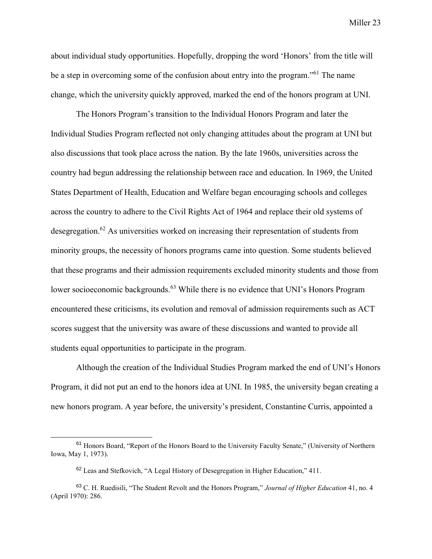about individual study opportunities. Hopefully, dropping the word 'Honors' from the title will be a step in overcoming some of the confusion about entry into the program."<sup>61</sup> The name change, which the university quickly approved, marked the end of the honors program at UNI.

The Honors Program's transition to the Individual Honors Program and later the Individual Studies Program reflected not only changing attitudes about the program at UNI but also discussions that took place across the nation. By the late 1960s, universities across the country had begun addressing the relationship between race and education. In 1969, the United States Department of Health, Education and Welfare began encouraging schools and colleges across the country to adhere to the Civil Rights Act of 1964 and replace their old systems of desegregation.<sup>62</sup> As universities worked on increasing their representation of students from minority groups, the necessity of honors programs came into question. Some students believed that these programs and their admission requirements excluded minority students and those from lower socioeconomic backgrounds.<sup>63</sup> While there is no evidence that UNI's Honors Program encountered these criticisms, its evolution and removal of admission requirements such as ACT scores suggest that the university was aware of these discussions and wanted to provide all students equal opportunities to participate in the program.

Although the creation of the Individual Studies Program marked the end of UNI's Honors Program, it did not put an end to the honors idea at UNI. In 1985, the university began creating a new honors program. A year before, the university's president, Constantine Curris, appointed a

<sup>61</sup> Honors Board, "Report of the Honors Board to the University Faculty Senate," (University of Northern Iowa, May 1, 1973).

<sup>62</sup> Leas and Stefkovich, "A Legal History of Desegregation in Higher Education," 411.

<sup>63</sup> C. H. Ruedisili, "The Student Revolt and the Honors Program," *Journal of Higher Education* 41, no. 4 (April 1970): 286.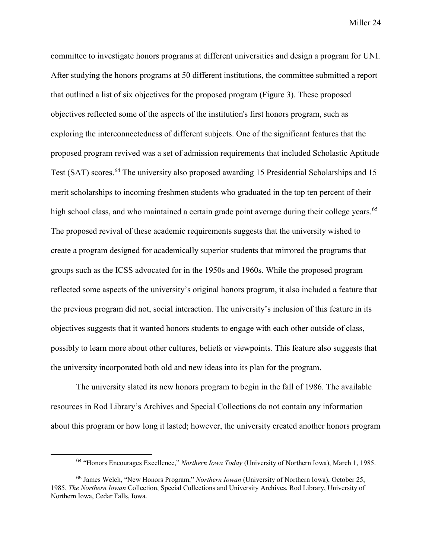committee to investigate honors programs at different universities and design a program for UNI. After studying the honors programs at 50 different institutions, the committee submitted a report that outlined a list of six objectives for the proposed program (Figure 3). These proposed objectives reflected some of the aspects of the institution's first honors program, such as exploring the interconnectedness of different subjects. One of the significant features that the proposed program revived was a set of admission requirements that included Scholastic Aptitude Test (SAT) scores.<sup>64</sup> The university also proposed awarding 15 Presidential Scholarships and 15 merit scholarships to incoming freshmen students who graduated in the top ten percent of their high school class, and who maintained a certain grade point average during their college years.<sup>65</sup> The proposed revival of these academic requirements suggests that the university wished to create a program designed for academically superior students that mirrored the programs that groups such as the ICSS advocated for in the 1950s and 1960s. While the proposed program reflected some aspects of the university's original honors program, it also included a feature that the previous program did not, social interaction. The university's inclusion of this feature in its objectives suggests that it wanted honors students to engage with each other outside of class, possibly to learn more about other cultures, beliefs or viewpoints. This feature also suggests that the university incorporated both old and new ideas into its plan for the program.

The university slated its new honors program to begin in the fall of 1986. The available resources in Rod Library's Archives and Special Collections do not contain any information about this program or how long it lasted; however, the university created another honors program

<sup>64</sup> "Honors Encourages Excellence," *Northern Iowa Today* (University of Northern Iowa), March 1, 1985.

<sup>65</sup> James Welch, "New Honors Program," *Northern Iowan* (University of Northern Iowa), October 25, 1985, *The Northern Iowan* Collection, Special Collections and University Archives, Rod Library, University of Northern Iowa, Cedar Falls, Iowa.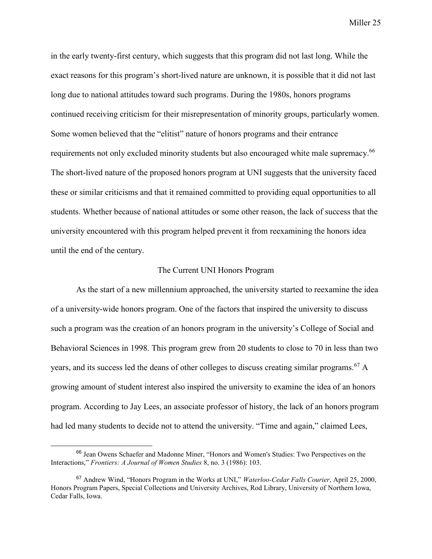in the early twenty-first century, which suggests that this program did not last long. While the exact reasons for this program's short-lived nature are unknown, it is possible that it did not last long due to national attitudes toward such programs. During the 1980s, honors programs continued receiving criticism for their misrepresentation of minority groups, particularly women. Some women believed that the "elitist" nature of honors programs and their entrance requirements not only excluded minority students but also encouraged white male supremacy.<sup>66</sup> The short-lived nature of the proposed honors program at UNI suggests that the university faced these or similar criticisms and that it remained committed to providing equal opportunities to all students. Whether because of national attitudes or some other reason, the lack of success that the university encountered with this program helped prevent it from reexamining the honors idea until the end of the century.

#### The Current UNI Honors Program

As the start of a new millennium approached, the university started to reexamine the idea of a university-wide honors program. One of the factors that inspired the university to discuss such a program was the creation of an honors program in the university's College of Social and Behavioral Sciences in 1998. This program grew from 20 students to close to 70 in less than two years, and its success led the deans of other colleges to discuss creating similar programs.<sup>67</sup> A growing amount of student interest also inspired the university to examine the idea of an honors program. According to Jay Lees, an associate professor of history, the lack of an honors program had led many students to decide not to attend the university. "Time and again," claimed Lees,

<sup>66</sup> Jean Owens Schaefer and Madonne Miner, "Honors and Women's Studies: Two Perspectives on the Interactions," *Frontiers: A Journal of Women Studies* 8, no. 3 (1986): 103.

<sup>67</sup> Andrew Wind, "Honors Program in the Works at UNI," *Waterloo-Cedar Falls Courier*, April 25, 2000, Honors Program Papers, Special Collections and University Archives, Rod Library, University of Northern Iowa, Cedar Falls, Iowa.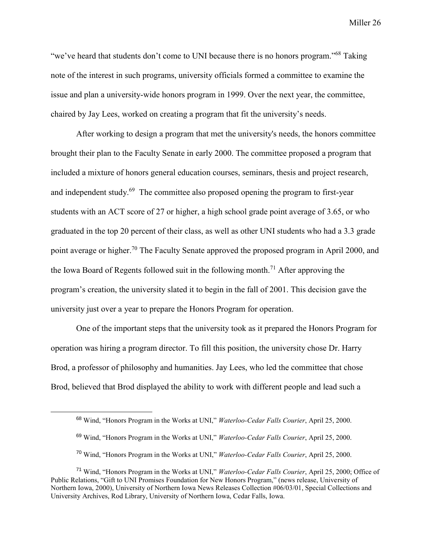"we've heard that students don't come to UNI because there is no honors program."<sup>68</sup> Taking note of the interest in such programs, university officials formed a committee to examine the issue and plan a university-wide honors program in 1999. Over the next year, the committee, chaired by Jay Lees, worked on creating a program that fit the university's needs.

After working to design a program that met the university's needs, the honors committee brought their plan to the Faculty Senate in early 2000. The committee proposed a program that included a mixture of honors general education courses, seminars, thesis and project research, and independent study.<sup>69</sup> The committee also proposed opening the program to first-year students with an ACT score of 27 or higher, a high school grade point average of 3.65, or who graduated in the top 20 percent of their class, as well as other UNI students who had a 3.3 grade point average or higher.<sup>70</sup> The Faculty Senate approved the proposed program in April 2000, and the Iowa Board of Regents followed suit in the following month.<sup>71</sup> After approving the program's creation, the university slated it to begin in the fall of 2001. This decision gave the university just over a year to prepare the Honors Program for operation.

One of the important steps that the university took as it prepared the Honors Program for operation was hiring a program director. To fill this position, the university chose Dr. Harry Brod, a professor of philosophy and humanities. Jay Lees, who led the committee that chose Brod, believed that Brod displayed the ability to work with different people and lead such a

<sup>68</sup> Wind, "Honors Program in the Works at UNI," *Waterloo-Cedar Falls Courier*, April 25, 2000.

<sup>69</sup> Wind, "Honors Program in the Works at UNI," *Waterloo-Cedar Falls Courier*, April 25, 2000.

<sup>70</sup> Wind, "Honors Program in the Works at UNI," *Waterloo-Cedar Falls Courier*, April 25, 2000.

<sup>71</sup> Wind, "Honors Program in the Works at UNI," *Waterloo-Cedar Falls Courier*, April 25, 2000; Office of Public Relations, "Gift to UNI Promises Foundation for New Honors Program," (news release, University of Northern Iowa, 2000), University of Northern Iowa News Releases Collection #06/03/01, Special Collections and University Archives, Rod Library, University of Northern Iowa, Cedar Falls, Iowa.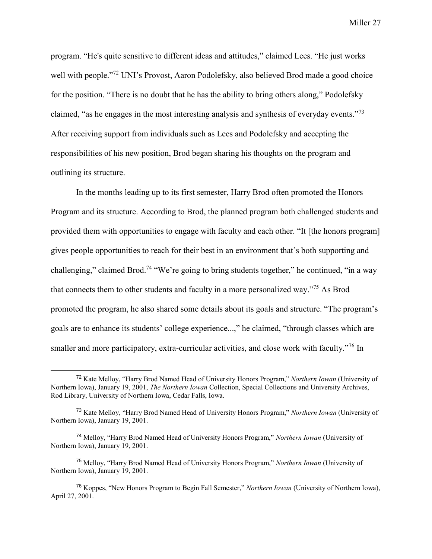program. "He's quite sensitive to different ideas and attitudes," claimed Lees. "He just works well with people."<sup>72</sup> UNI's Provost, Aaron Podolefsky, also believed Brod made a good choice for the position. "There is no doubt that he has the ability to bring others along," Podolefsky claimed, "as he engages in the most interesting analysis and synthesis of everyday events."<sup>73</sup> After receiving support from individuals such as Lees and Podolefsky and accepting the responsibilities of his new position, Brod began sharing his thoughts on the program and outlining its structure.

In the months leading up to its first semester, Harry Brod often promoted the Honors Program and its structure. According to Brod, the planned program both challenged students and provided them with opportunities to engage with faculty and each other. "It [the honors program] gives people opportunities to reach for their best in an environment that's both supporting and challenging," claimed Brod.<sup>74</sup> "We're going to bring students together," he continued, "in a way that connects them to other students and faculty in a more personalized way."<sup>75</sup> As Brod promoted the program, he also shared some details about its goals and structure. "The program's goals are to enhance its students' college experience...," he claimed, "through classes which are smaller and more participatory, extra-curricular activities, and close work with faculty."<sup>76</sup> In

<sup>72</sup> Kate Melloy, "Harry Brod Named Head of University Honors Program," *Northern Iowan* (University of Northern Iowa), January 19, 2001, *The Northern Iowan* Collection, Special Collections and University Archives, Rod Library, University of Northern Iowa, Cedar Falls, Iowa.

<sup>73</sup> Kate Melloy, "Harry Brod Named Head of University Honors Program," *Northern Iowan* (University of Northern Iowa), January 19, 2001.

<sup>74</sup> Melloy, "Harry Brod Named Head of University Honors Program," *Northern Iowan* (University of Northern Iowa), January 19, 2001.

<sup>75</sup> Melloy, "Harry Brod Named Head of University Honors Program," *Northern Iowan* (University of Northern Iowa), January 19, 2001.

<sup>76</sup> Koppes, "New Honors Program to Begin Fall Semester," *Northern Iowan* (University of Northern Iowa), April 27, 2001.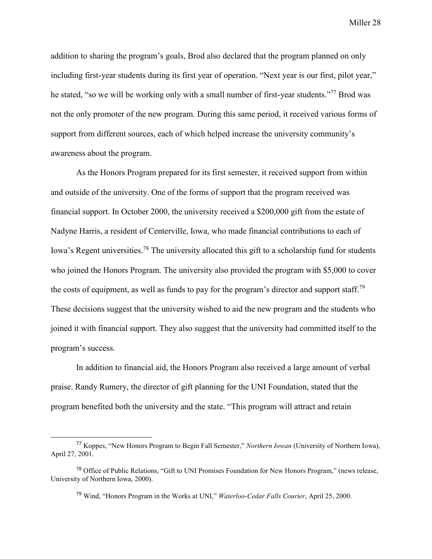addition to sharing the program's goals, Brod also declared that the program planned on only including first-year students during its first year of operation. "Next year is our first, pilot year," he stated, "so we will be working only with a small number of first-year students."<sup>77</sup> Brod was not the only promoter of the new program. During this same period, it received various forms of support from different sources, each of which helped increase the university community's awareness about the program.

As the Honors Program prepared for its first semester, it received support from within and outside of the university. One of the forms of support that the program received was financial support. In October 2000, the university received a \$200,000 gift from the estate of Nadyne Harris, a resident of Centerville, Iowa, who made financial contributions to each of Iowa's Regent universities.<sup>78</sup> The university allocated this gift to a scholarship fund for students who joined the Honors Program. The university also provided the program with \$5,000 to cover the costs of equipment, as well as funds to pay for the program's director and support staff.<sup>79</sup> These decisions suggest that the university wished to aid the new program and the students who joined it with financial support. They also suggest that the university had committed itself to the program's success.

In addition to financial aid, the Honors Program also received a large amount of verbal praise. Randy Rumery, the director of gift planning for the UNI Foundation, stated that the program benefited both the university and the state. "This program will attract and retain

<sup>77</sup> Koppes, "New Honors Program to Begin Fall Semester," *Northern Iowan* (University of Northern Iowa), April 27, 2001.

<sup>78</sup> Office of Public Relations, "Gift to UNI Promises Foundation for New Honors Program," (news release, University of Northern Iowa, 2000).

<sup>79</sup> Wind, "Honors Program in the Works at UNI," *Waterloo-Cedar Falls Courier*, April 25, 2000.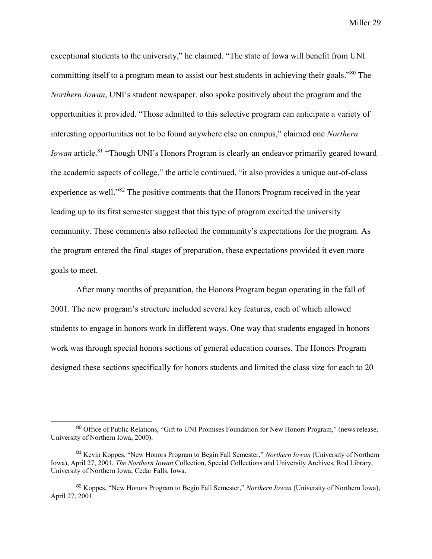exceptional students to the university," he claimed. "The state of Iowa will benefit from UNI committing itself to a program mean to assist our best students in achieving their goals."<sup>80</sup> The *Northern Iowan*, UNI's student newspaper, also spoke positively about the program and the opportunities it provided. "Those admitted to this selective program can anticipate a variety of interesting opportunities not to be found anywhere else on campus," claimed one *Northern Iowan* article.<sup>81</sup> "Though UNI's Honors Program is clearly an endeavor primarily geared toward the academic aspects of college," the article continued, "it also provides a unique out-of-class experience as well."<sup>82</sup> The positive comments that the Honors Program received in the year leading up to its first semester suggest that this type of program excited the university community. These comments also reflected the community's expectations for the program. As the program entered the final stages of preparation, these expectations provided it even more goals to meet.

After many months of preparation, the Honors Program began operating in the fall of 2001. The new program's structure included several key features, each of which allowed students to engage in honors work in different ways. One way that students engaged in honors work was through special honors sections of general education courses. The Honors Program designed these sections specifically for honors students and limited the class size for each to 20

<sup>80</sup> Office of Public Relations, "Gift to UNI Promises Foundation for New Honors Program," (news release, University of Northern Iowa, 2000).

<sup>81</sup> Kevin Koppes, "New Honors Program to Begin Fall Semester," *Northern Iowan* (University of Northern Iowa), April 27, 2001, *The Northern Iowan* Collection, Special Collections and University Archives, Rod Library, University of Northern Iowa, Cedar Falls, Iowa.

<sup>82</sup> Koppes, "New Honors Program to Begin Fall Semester," *Northern Iowan* (University of Northern Iowa), April 27, 2001.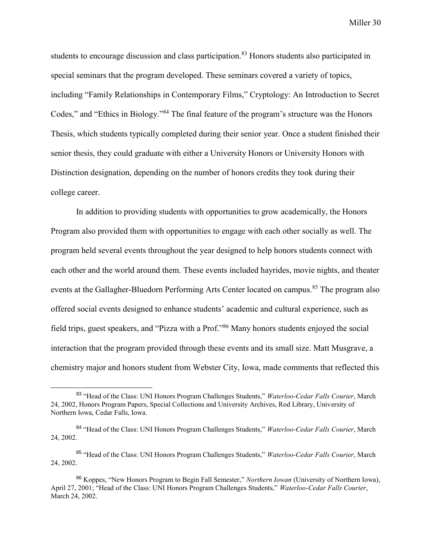students to encourage discussion and class participation.<sup>83</sup> Honors students also participated in special seminars that the program developed. These seminars covered a variety of topics, including "Family Relationships in Contemporary Films," Cryptology: An Introduction to Secret Codes," and "Ethics in Biology."<sup>84</sup> The final feature of the program's structure was the Honors Thesis, which students typically completed during their senior year. Once a student finished their senior thesis, they could graduate with either a University Honors or University Honors with Distinction designation, depending on the number of honors credits they took during their college career.

In addition to providing students with opportunities to grow academically, the Honors Program also provided them with opportunities to engage with each other socially as well. The program held several events throughout the year designed to help honors students connect with each other and the world around them. These events included hayrides, movie nights, and theater events at the Gallagher-Bluedorn Performing Arts Center located on campus.<sup>85</sup> The program also offered social events designed to enhance students' academic and cultural experience, such as field trips, guest speakers, and "Pizza with a Prof."<sup>86</sup> Many honors students enjoyed the social interaction that the program provided through these events and its small size. Matt Musgrave, a chemistry major and honors student from Webster City, Iowa, made comments that reflected this

<sup>83</sup> "Head of the Class: UNI Honors Program Challenges Students," *Waterloo-Cedar Falls Courier*, March 24, 2002, Honors Program Papers, Special Collections and University Archives, Rod Library, University of Northern Iowa, Cedar Falls, Iowa.

<sup>84</sup> "Head of the Class: UNI Honors Program Challenges Students," *Waterloo-Cedar Falls Courier*, March 24, 2002.

<sup>85</sup> "Head of the Class: UNI Honors Program Challenges Students," *Waterloo-Cedar Falls Courier*, March 24, 2002.

<sup>86</sup> Koppes, "New Honors Program to Begin Fall Semester," *Northern Iowan* (University of Northern Iowa), April 27, 2001; "Head of the Class: UNI Honors Program Challenges Students," *Waterloo-Cedar Falls Courier*, March 24, 2002.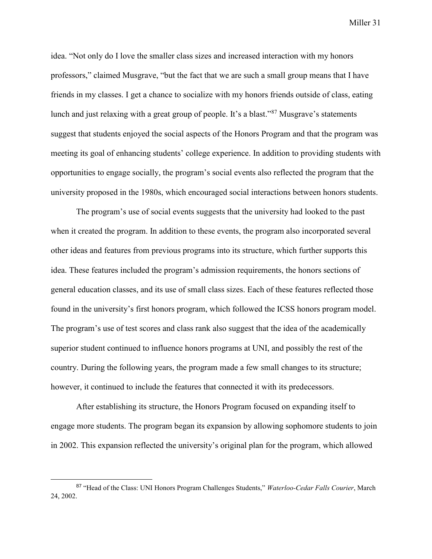idea. "Not only do I love the smaller class sizes and increased interaction with my honors professors," claimed Musgrave, "but the fact that we are such a small group means that I have friends in my classes. I get a chance to socialize with my honors friends outside of class, eating lunch and just relaxing with a great group of people. It's a blast."<sup>87</sup> Musgrave's statements suggest that students enjoyed the social aspects of the Honors Program and that the program was meeting its goal of enhancing students' college experience. In addition to providing students with opportunities to engage socially, the program's social events also reflected the program that the university proposed in the 1980s, which encouraged social interactions between honors students.

The program's use of social events suggests that the university had looked to the past when it created the program. In addition to these events, the program also incorporated several other ideas and features from previous programs into its structure, which further supports this idea. These features included the program's admission requirements, the honors sections of general education classes, and its use of small class sizes. Each of these features reflected those found in the university's first honors program, which followed the ICSS honors program model. The program's use of test scores and class rank also suggest that the idea of the academically superior student continued to influence honors programs at UNI, and possibly the rest of the country. During the following years, the program made a few small changes to its structure; however, it continued to include the features that connected it with its predecessors.

After establishing its structure, the Honors Program focused on expanding itself to engage more students. The program began its expansion by allowing sophomore students to join in 2002. This expansion reflected the university's original plan for the program, which allowed

<sup>87</sup> "Head of the Class: UNI Honors Program Challenges Students," *Waterloo-Cedar Falls Courier*, March 24, 2002.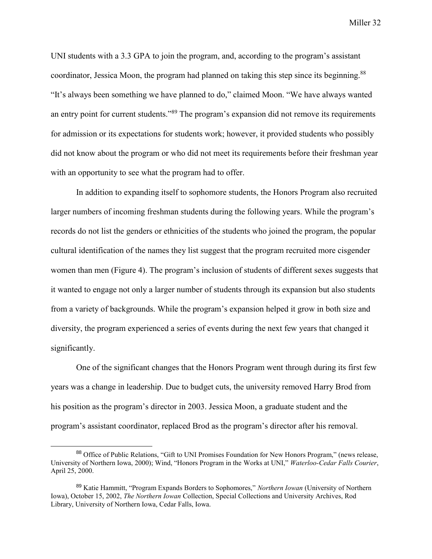UNI students with a 3.3 GPA to join the program, and, according to the program's assistant coordinator, Jessica Moon, the program had planned on taking this step since its beginning.<sup>88</sup> "It's always been something we have planned to do," claimed Moon. "We have always wanted an entry point for current students."<sup>89</sup> The program's expansion did not remove its requirements for admission or its expectations for students work; however, it provided students who possibly did not know about the program or who did not meet its requirements before their freshman year with an opportunity to see what the program had to offer.

In addition to expanding itself to sophomore students, the Honors Program also recruited larger numbers of incoming freshman students during the following years. While the program's records do not list the genders or ethnicities of the students who joined the program, the popular cultural identification of the names they list suggest that the program recruited more cisgender women than men (Figure 4). The program's inclusion of students of different sexes suggests that it wanted to engage not only a larger number of students through its expansion but also students from a variety of backgrounds. While the program's expansion helped it grow in both size and diversity, the program experienced a series of events during the next few years that changed it significantly.

One of the significant changes that the Honors Program went through during its first few years was a change in leadership. Due to budget cuts, the university removed Harry Brod from his position as the program's director in 2003. Jessica Moon, a graduate student and the program's assistant coordinator, replaced Brod as the program's director after his removal.

<sup>88</sup> Office of Public Relations, "Gift to UNI Promises Foundation for New Honors Program," (news release, University of Northern Iowa, 2000); Wind, "Honors Program in the Works at UNI," *Waterloo-Cedar Falls Courier*, April 25, 2000.

<sup>89</sup> Katie Hammitt, "Program Expands Borders to Sophomores," *Northern Iowan* (University of Northern Iowa), October 15, 2002, *The Northern Iowan* Collection, Special Collections and University Archives, Rod Library, University of Northern Iowa, Cedar Falls, Iowa.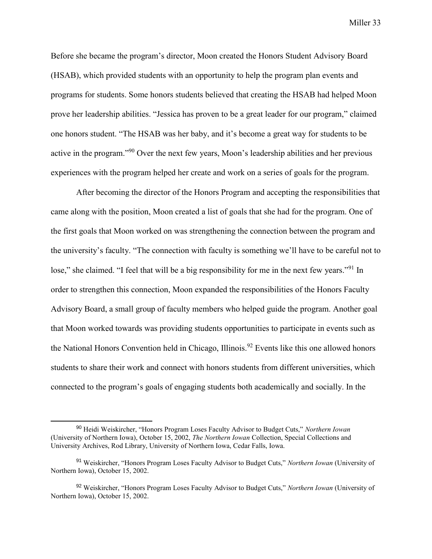Before she became the program's director, Moon created the Honors Student Advisory Board (HSAB), which provided students with an opportunity to help the program plan events and programs for students. Some honors students believed that creating the HSAB had helped Moon prove her leadership abilities. "Jessica has proven to be a great leader for our program," claimed one honors student. "The HSAB was her baby, and it's become a great way for students to be active in the program."<sup>90</sup> Over the next few years, Moon's leadership abilities and her previous experiences with the program helped her create and work on a series of goals for the program.

After becoming the director of the Honors Program and accepting the responsibilities that came along with the position, Moon created a list of goals that she had for the program. One of the first goals that Moon worked on was strengthening the connection between the program and the university's faculty. "The connection with faculty is something we'll have to be careful not to lose," she claimed. "I feel that will be a big responsibility for me in the next few years."<sup>91</sup> In order to strengthen this connection, Moon expanded the responsibilities of the Honors Faculty Advisory Board, a small group of faculty members who helped guide the program. Another goal that Moon worked towards was providing students opportunities to participate in events such as the National Honors Convention held in Chicago, Illinois.<sup>92</sup> Events like this one allowed honors students to share their work and connect with honors students from different universities, which connected to the program's goals of engaging students both academically and socially. In the

<sup>90</sup> Heidi Weiskircher, "Honors Program Loses Faculty Advisor to Budget Cuts," *Northern Iowan* (University of Northern Iowa), October 15, 2002, *The Northern Iowan* Collection, Special Collections and University Archives, Rod Library, University of Northern Iowa, Cedar Falls, Iowa.

<sup>91</sup> Weiskircher, "Honors Program Loses Faculty Advisor to Budget Cuts," *Northern Iowan* (University of Northern Iowa), October 15, 2002.

<sup>92</sup> Weiskircher, "Honors Program Loses Faculty Advisor to Budget Cuts," *Northern Iowan* (University of Northern Iowa), October 15, 2002.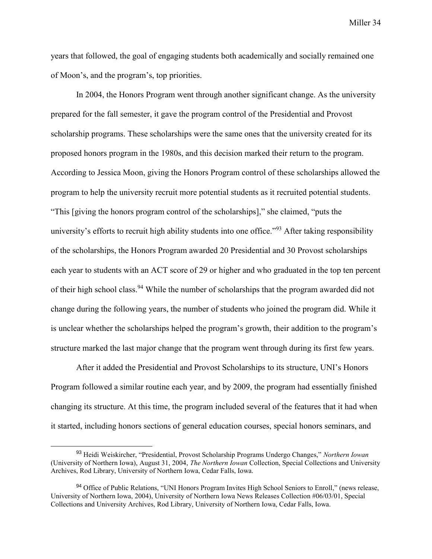years that followed, the goal of engaging students both academically and socially remained one of Moon's, and the program's, top priorities.

In 2004, the Honors Program went through another significant change. As the university prepared for the fall semester, it gave the program control of the Presidential and Provost scholarship programs. These scholarships were the same ones that the university created for its proposed honors program in the 1980s, and this decision marked their return to the program. According to Jessica Moon, giving the Honors Program control of these scholarships allowed the program to help the university recruit more potential students as it recruited potential students. "This [giving the honors program control of the scholarships]," she claimed, "puts the university's efforts to recruit high ability students into one office."<sup>93</sup> After taking responsibility of the scholarships, the Honors Program awarded 20 Presidential and 30 Provost scholarships each year to students with an ACT score of 29 or higher and who graduated in the top ten percent of their high school class.<sup>94</sup> While the number of scholarships that the program awarded did not change during the following years, the number of students who joined the program did. While it is unclear whether the scholarships helped the program's growth, their addition to the program's structure marked the last major change that the program went through during its first few years.

After it added the Presidential and Provost Scholarships to its structure, UNI's Honors Program followed a similar routine each year, and by 2009, the program had essentially finished changing its structure. At this time, the program included several of the features that it had when it started, including honors sections of general education courses, special honors seminars, and

<sup>93</sup> Heidi Weiskircher, "Presidential, Provost Scholarship Programs Undergo Changes," *Northern Iowan* (University of Northern Iowa), August 31, 2004, *The Northern Iowan* Collection, Special Collections and University Archives, Rod Library, University of Northern Iowa, Cedar Falls, Iowa.

<sup>94</sup> Office of Public Relations, "UNI Honors Program Invites High School Seniors to Enroll," (news release, University of Northern Iowa, 2004), University of Northern Iowa News Releases Collection #06/03/01, Special Collections and University Archives, Rod Library, University of Northern Iowa, Cedar Falls, Iowa.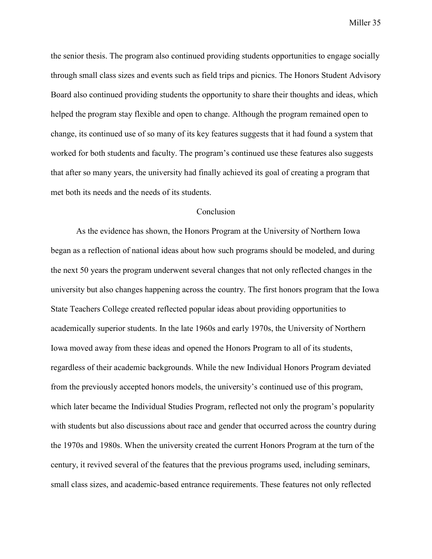the senior thesis. The program also continued providing students opportunities to engage socially through small class sizes and events such as field trips and picnics. The Honors Student Advisory Board also continued providing students the opportunity to share their thoughts and ideas, which helped the program stay flexible and open to change. Although the program remained open to change, its continued use of so many of its key features suggests that it had found a system that worked for both students and faculty. The program's continued use these features also suggests that after so many years, the university had finally achieved its goal of creating a program that met both its needs and the needs of its students.

## **Conclusion**

As the evidence has shown, the Honors Program at the University of Northern Iowa began as a reflection of national ideas about how such programs should be modeled, and during the next 50 years the program underwent several changes that not only reflected changes in the university but also changes happening across the country. The first honors program that the Iowa State Teachers College created reflected popular ideas about providing opportunities to academically superior students. In the late 1960s and early 1970s, the University of Northern Iowa moved away from these ideas and opened the Honors Program to all of its students, regardless of their academic backgrounds. While the new Individual Honors Program deviated from the previously accepted honors models, the university's continued use of this program, which later became the Individual Studies Program, reflected not only the program's popularity with students but also discussions about race and gender that occurred across the country during the 1970s and 1980s. When the university created the current Honors Program at the turn of the century, it revived several of the features that the previous programs used, including seminars, small class sizes, and academic-based entrance requirements. These features not only reflected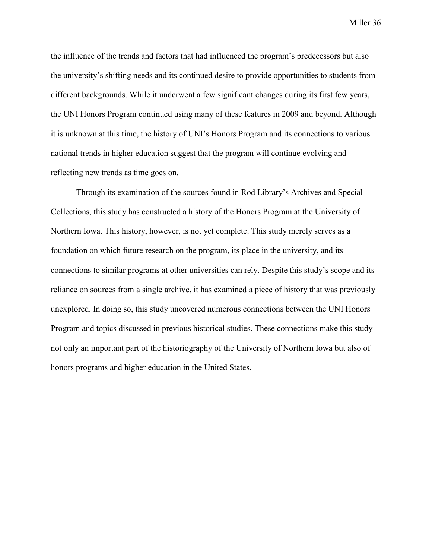the influence of the trends and factors that had influenced the program's predecessors but also the university's shifting needs and its continued desire to provide opportunities to students from different backgrounds. While it underwent a few significant changes during its first few years, the UNI Honors Program continued using many of these features in 2009 and beyond. Although it is unknown at this time, the history of UNI's Honors Program and its connections to various national trends in higher education suggest that the program will continue evolving and reflecting new trends as time goes on.

Through its examination of the sources found in Rod Library's Archives and Special Collections, this study has constructed a history of the Honors Program at the University of Northern Iowa. This history, however, is not yet complete. This study merely serves as a foundation on which future research on the program, its place in the university, and its connections to similar programs at other universities can rely. Despite this study's scope and its reliance on sources from a single archive, it has examined a piece of history that was previously unexplored. In doing so, this study uncovered numerous connections between the UNI Honors Program and topics discussed in previous historical studies. These connections make this study not only an important part of the historiography of the University of Northern Iowa but also of honors programs and higher education in the United States.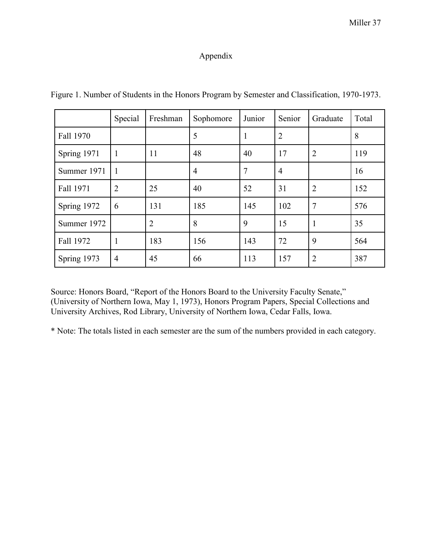## Appendix

|             | Special        | Freshman       | Sophomore      | Junior         | Senior         | Graduate       | Total |
|-------------|----------------|----------------|----------------|----------------|----------------|----------------|-------|
| Fall 1970   |                |                | 5              | 1              | $\overline{2}$ |                | 8     |
| Spring 1971 | $\mathbf{1}$   | 11             | 48             | 40             | 17             | $\overline{2}$ | 119   |
| Summer 1971 | 1              |                | $\overline{4}$ | $\overline{7}$ | $\overline{4}$ |                | 16    |
| Fall 1971   | $\overline{2}$ | 25             | 40             | 52             | 31             | $\overline{2}$ | 152   |
| Spring 1972 | 6              | 131            | 185            | 145            | 102            | 7              | 576   |
| Summer 1972 |                | $\overline{2}$ | 8              | 9              | 15             | 1              | 35    |
| Fall 1972   | 1              | 183            | 156            | 143            | 72             | 9              | 564   |
| Spring 1973 | $\overline{4}$ | 45             | 66             | 113            | 157            | $\overline{2}$ | 387   |

Figure 1. Number of Students in the Honors Program by Semester and Classification, 1970-1973.

Source: Honors Board, "Report of the Honors Board to the University Faculty Senate," (University of Northern Iowa, May 1, 1973), Honors Program Papers, Special Collections and University Archives, Rod Library, University of Northern Iowa, Cedar Falls, Iowa.

\* Note: The totals listed in each semester are the sum of the numbers provided in each category.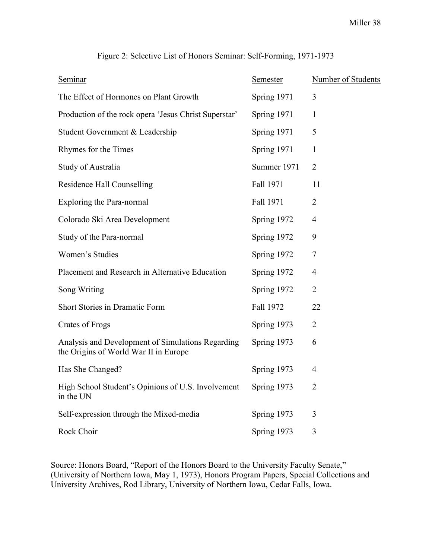| <b>Seminar</b>                                                                             | <b>Semester</b> | Number of Students |
|--------------------------------------------------------------------------------------------|-----------------|--------------------|
| The Effect of Hormones on Plant Growth                                                     | Spring 1971     | $\overline{3}$     |
| Production of the rock opera 'Jesus Christ Superstar'                                      | Spring 1971     | $\mathbf{1}$       |
| Student Government & Leadership                                                            | Spring 1971     | 5                  |
| Rhymes for the Times                                                                       | Spring 1971     | $\mathbf{1}$       |
| Study of Australia                                                                         | Summer 1971     | $\overline{2}$     |
| Residence Hall Counselling                                                                 | Fall 1971       | 11                 |
| <b>Exploring the Para-normal</b>                                                           | Fall 1971       | $\overline{2}$     |
| Colorado Ski Area Development                                                              | Spring 1972     | $\overline{4}$     |
| Study of the Para-normal                                                                   | Spring 1972     | 9                  |
| Women's Studies                                                                            | Spring 1972     | $\tau$             |
| Placement and Research in Alternative Education                                            | Spring 1972     | $\overline{4}$     |
| Song Writing                                                                               | Spring 1972     | $\overline{2}$     |
| <b>Short Stories in Dramatic Form</b>                                                      | Fall 1972       | 22                 |
| <b>Crates of Frogs</b>                                                                     | Spring 1973     | $\overline{2}$     |
| Analysis and Development of Simulations Regarding<br>the Origins of World War II in Europe | Spring 1973     | 6                  |
| Has She Changed?                                                                           | Spring 1973     | $\overline{4}$     |
| High School Student's Opinions of U.S. Involvement<br>in the UN                            | Spring 1973     | 2                  |
| Self-expression through the Mixed-media                                                    | Spring 1973     | 3                  |
| Rock Choir                                                                                 | Spring 1973     | 3                  |

Figure 2: Selective List of Honors Seminar: Self-Forming, 1971-1973

Source: Honors Board, "Report of the Honors Board to the University Faculty Senate," (University of Northern Iowa, May 1, 1973), Honors Program Papers, Special Collections and University Archives, Rod Library, University of Northern Iowa, Cedar Falls, Iowa.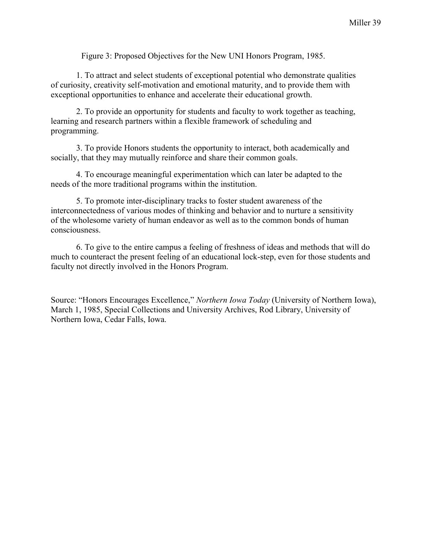Figure 3: Proposed Objectives for the New UNI Honors Program, 1985.

1. To attract and select students of exceptional potential who demonstrate qualities of curiosity, creativity self-motivation and emotional maturity, and to provide them with exceptional opportunities to enhance and accelerate their educational growth.

2. To provide an opportunity for students and faculty to work together as teaching, learning and research partners within a flexible framework of scheduling and programming.

3. To provide Honors students the opportunity to interact, both academically and socially, that they may mutually reinforce and share their common goals.

4. To encourage meaningful experimentation which can later be adapted to the needs of the more traditional programs within the institution.

5. To promote inter-disciplinary tracks to foster student awareness of the interconnectedness of various modes of thinking and behavior and to nurture a sensitivity of the wholesome variety of human endeavor as well as to the common bonds of human consciousness.

6. To give to the entire campus a feeling of freshness of ideas and methods that will do much to counteract the present feeling of an educational lock-step, even for those students and faculty not directly involved in the Honors Program.

Source: "Honors Encourages Excellence," *Northern Iowa Today* (University of Northern Iowa), March 1, 1985, Special Collections and University Archives, Rod Library, University of Northern Iowa, Cedar Falls, Iowa.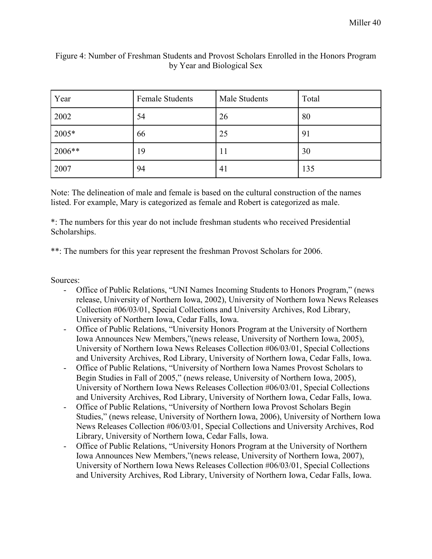| Year   | <b>Female Students</b> | Male Students | Total |
|--------|------------------------|---------------|-------|
| 2002   | 54                     | 26            | 80    |
| 2005*  | 66                     | 25            | 91    |
| 2006** | 19                     | 11            | 30    |
| 2007   | 94                     | 41            | 135   |

## Figure 4: Number of Freshman Students and Provost Scholars Enrolled in the Honors Program by Year and Biological Sex

Note: The delineation of male and female is based on the cultural construction of the names listed. For example, Mary is categorized as female and Robert is categorized as male.

\*: The numbers for this year do not include freshman students who received Presidential Scholarships.

\*\*: The numbers for this year represent the freshman Provost Scholars for 2006.

Sources:

- Office of Public Relations, "UNI Names Incoming Students to Honors Program," (news release, University of Northern Iowa, 2002), University of Northern Iowa News Releases Collection #06/03/01, Special Collections and University Archives, Rod Library, University of Northern Iowa, Cedar Falls, Iowa.
- Office of Public Relations, "University Honors Program at the University of Northern Iowa Announces New Members,"(news release, University of Northern Iowa, 2005), University of Northern Iowa News Releases Collection #06/03/01, Special Collections and University Archives, Rod Library, University of Northern Iowa, Cedar Falls, Iowa.
- Office of Public Relations, "University of Northern Iowa Names Provost Scholars to Begin Studies in Fall of 2005," (news release, University of Northern Iowa, 2005), University of Northern Iowa News Releases Collection #06/03/01, Special Collections and University Archives, Rod Library, University of Northern Iowa, Cedar Falls, Iowa.
- Office of Public Relations, "University of Northern Iowa Provost Scholars Begin Studies," (news release, University of Northern Iowa, 2006), University of Northern Iowa News Releases Collection #06/03/01, Special Collections and University Archives, Rod Library, University of Northern Iowa, Cedar Falls, Iowa.
- Office of Public Relations, "University Honors Program at the University of Northern Iowa Announces New Members,"(news release, University of Northern Iowa, 2007), University of Northern Iowa News Releases Collection #06/03/01, Special Collections and University Archives, Rod Library, University of Northern Iowa, Cedar Falls, Iowa.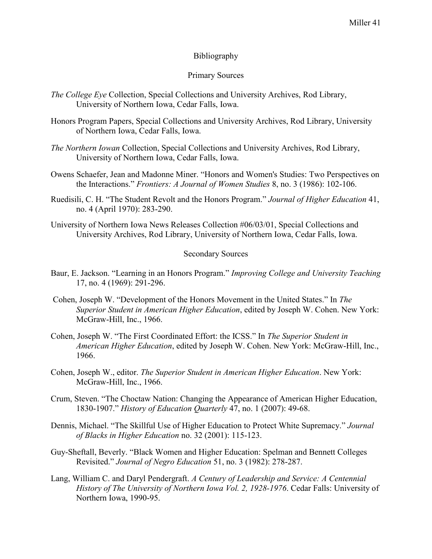## Bibliography

## Primary Sources

- *The College Eye* Collection, Special Collections and University Archives, Rod Library, University of Northern Iowa, Cedar Falls, Iowa.
- Honors Program Papers, Special Collections and University Archives, Rod Library, University of Northern Iowa, Cedar Falls, Iowa.
- *The Northern Iowan* Collection, Special Collections and University Archives, Rod Library, University of Northern Iowa, Cedar Falls, Iowa.
- Owens Schaefer, Jean and Madonne Miner. "Honors and Women's Studies: Two Perspectives on the Interactions." *Frontiers: A Journal of Women Studies* 8, no. 3 (1986): 102-106.
- Ruedisili, C. H. "The Student Revolt and the Honors Program." *Journal of Higher Education* 41, no. 4 (April 1970): 283-290.
- University of Northern Iowa News Releases Collection #06/03/01, Special Collections and University Archives, Rod Library, University of Northern Iowa, Cedar Falls, Iowa.

#### Secondary Sources

- Baur, E. Jackson. "Learning in an Honors Program." *Improving College and University Teaching*  17, no. 4 (1969): 291-296.
- Cohen, Joseph W. "Development of the Honors Movement in the United States." In *The Superior Student in American Higher Education*, edited by Joseph W. Cohen. New York: McGraw-Hill, Inc., 1966.
- Cohen, Joseph W. "The First Coordinated Effort: the ICSS." In *The Superior Student in American Higher Education*, edited by Joseph W. Cohen. New York: McGraw-Hill, Inc., 1966.
- Cohen, Joseph W., editor. *The Superior Student in American Higher Education*. New York: McGraw-Hill, Inc., 1966.
- Crum, Steven. "The Choctaw Nation: Changing the Appearance of American Higher Education, 1830-1907." *History of Education Quarterly* 47, no. 1 (2007): 49-68.
- Dennis, Michael. "The Skillful Use of Higher Education to Protect White Supremacy." *Journal of Blacks in Higher Education* no. 32 (2001): 115-123.
- Guy-Sheftall, Beverly. "Black Women and Higher Education: Spelman and Bennett Colleges Revisited." *Journal of Negro Education* 51, no. 3 (1982): 278-287.
- Lang, William C. and Daryl Pendergraft. *A Century of Leadership and Service: A Centennial History of The University of Northern Iowa Vol. 2, 1928-1976*. Cedar Falls: University of Northern Iowa, 1990-95.